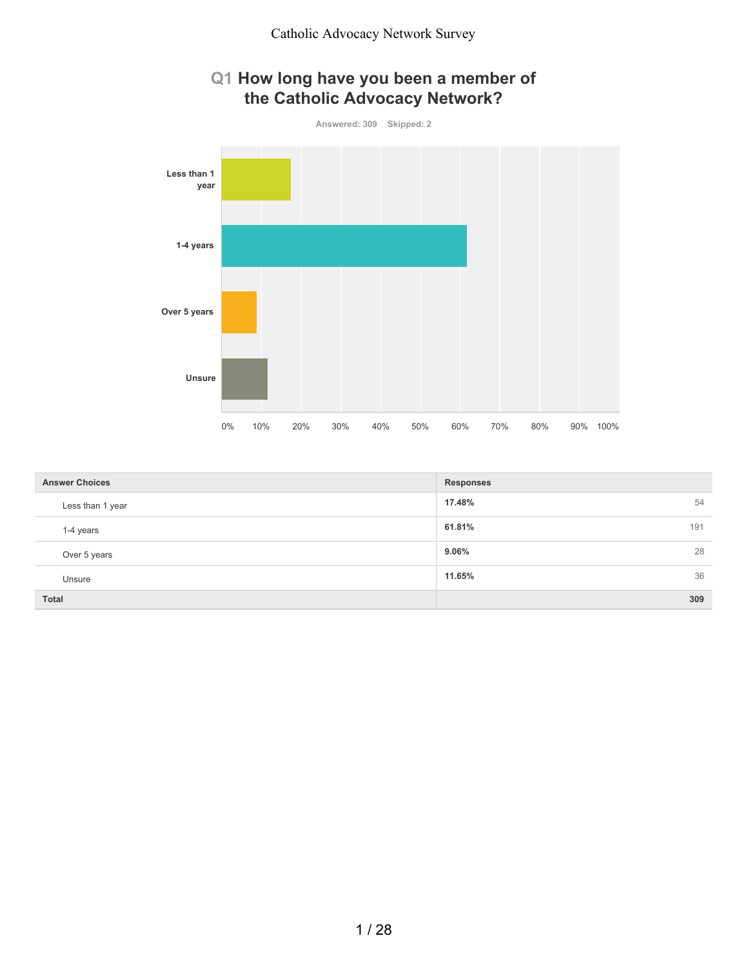



| <b>Answer Choices</b> | <b>Responses</b> |
|-----------------------|------------------|
| Less than 1 year      | 17.48%<br>54     |
| 1-4 years             | 61.81%<br>191    |
| Over 5 years          | 9.06%<br>28      |
| Unsure                | 36<br>11.65%     |
| Total                 | 309              |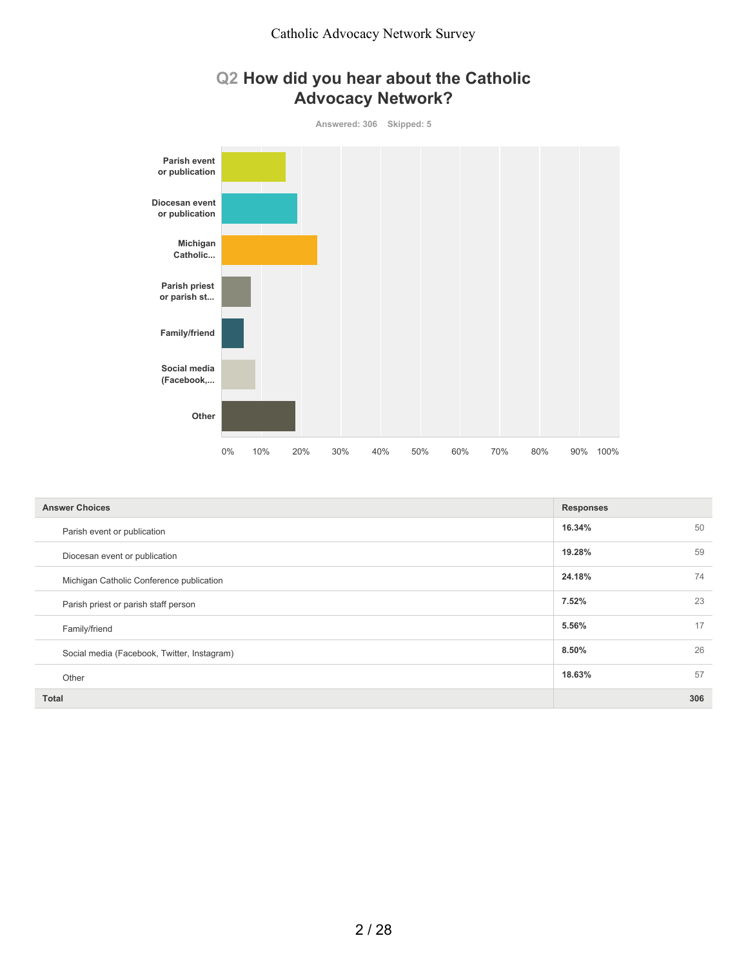## **Q2 How did you hear about the Catholic Advocacy Network?**



| <b>Answer Choices</b>                       | <b>Responses</b> |     |
|---------------------------------------------|------------------|-----|
| Parish event or publication                 | 16.34%           | 50  |
| Diocesan event or publication               | 19.28%           | 59  |
| Michigan Catholic Conference publication    | 24.18%           | 74  |
| Parish priest or parish staff person        | 7.52%            | 23  |
| Family/friend                               | 5.56%            | 17  |
| Social media (Facebook, Twitter, Instagram) | 8.50%            | 26  |
| Other                                       | 18.63%           | 57  |
| <b>Total</b>                                |                  | 306 |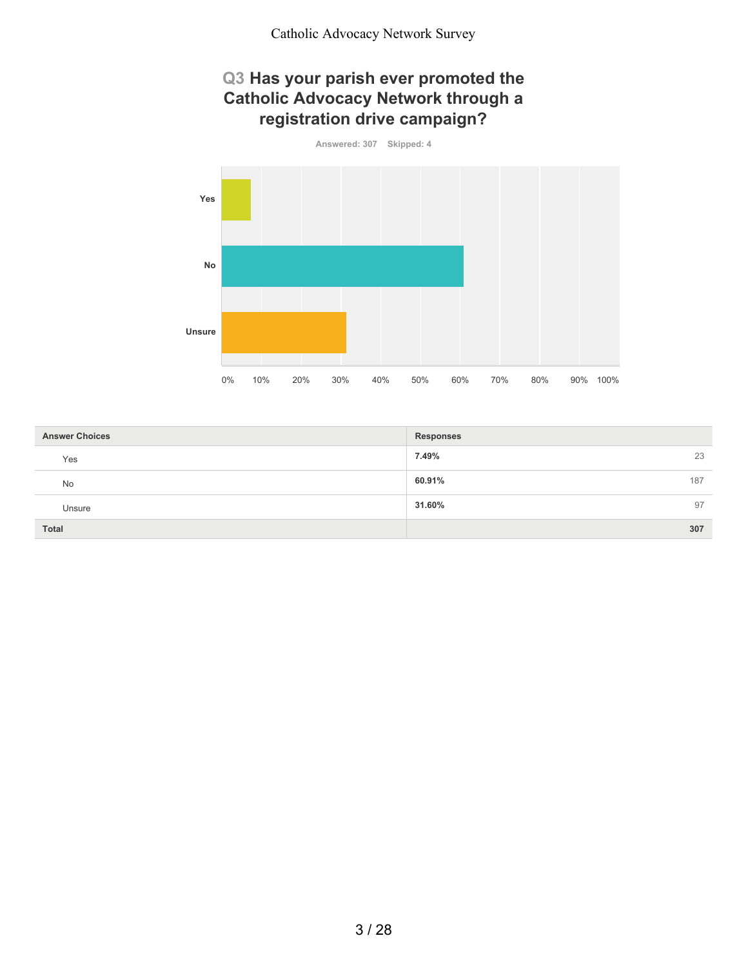#### **Q3 Has your parish ever promoted the Catholic Advocacy Network through a registration drive campaign?**



| <b>Answer Choices</b> | <b>Responses</b> |
|-----------------------|------------------|
| Yes                   | 23<br>7.49%      |
| No                    | 60.91%<br>187    |
| Unsure                | 31.60%<br>97     |
| <b>Total</b>          | 307              |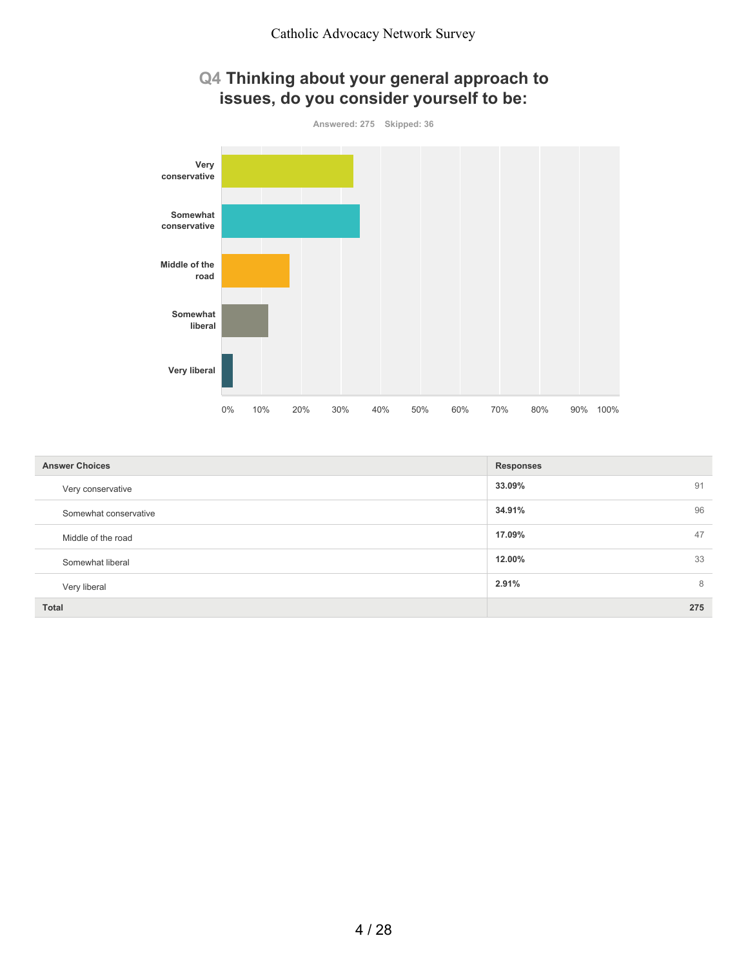## **Q4 Thinking about your general approach to issues, do you consider yourself to be:**



| <b>Answer Choices</b> | <b>Responses</b> |
|-----------------------|------------------|
| Very conservative     | 33.09%<br>91     |
| Somewhat conservative | 34.91%<br>96     |
| Middle of the road    | 17.09%<br>47     |
| Somewhat liberal      | 33<br>12.00%     |
| Very liberal          | 2.91%<br>8       |
| <b>Total</b>          | 275              |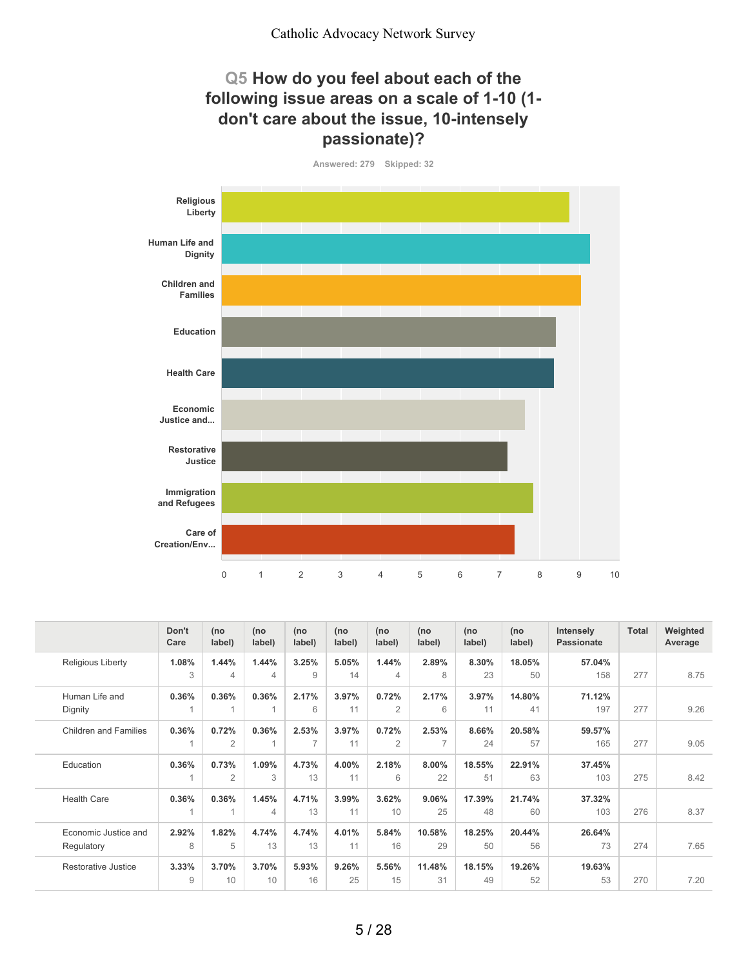#### **Q5 How do you feel about each of the following issue areas on a scale of 1-10 (1 don't care about the issue, 10-intensely passionate)?**

**Answered: 279 Skipped: 32**



|                              | Don't<br>Care | (no<br>label)  | (no<br>label)  | (no<br>label)  | (no<br>label) | (no<br>label)  | (no<br>label) | (no<br>label) | (no<br>label) | <b>Intensely</b><br><b>Passionate</b> | Total | Weighted<br>Average |
|------------------------------|---------------|----------------|----------------|----------------|---------------|----------------|---------------|---------------|---------------|---------------------------------------|-------|---------------------|
| <b>Religious Liberty</b>     | 1.08%         | 1.44%          | 1.44%          | 3.25%          | 5.05%         | 1.44%          | 2.89%         | 8.30%         | 18.05%        | 57.04%                                |       |                     |
|                              | 3             | 4              | $\overline{4}$ | 9              | 14            | 4              | 8             | 23            | 50            | 158                                   | 277   | 8.75                |
| Human Life and               | 0.36%         | 0.36%          | 0.36%          | 2.17%          | 3.97%         | 0.72%          | 2.17%         | 3.97%         | 14.80%        | 71.12%                                |       |                     |
| Dignity                      |               |                |                | 6              | 11            | $\overline{2}$ | 6             | 11            | 41            | 197                                   | 277   | 9.26                |
| <b>Children and Families</b> | 0.36%         | 0.72%          | 0.36%          | 2.53%          | 3.97%         | 0.72%          | 2.53%         | 8.66%         | 20.58%        | 59.57%                                |       |                     |
|                              | 1             | $\overline{2}$ | $\overline{A}$ | $\overline{7}$ | 11            | $\overline{2}$ | 7             | 24            | 57            | 165                                   | 277   | 9.05                |
| Education                    | 0.36%         | 0.73%          | 1.09%          | 4.73%          | 4.00%         | 2.18%          | 8.00%         | 18.55%        | 22.91%        | 37.45%                                |       |                     |
|                              |               | $\overline{2}$ | 3              | 13             | 11            | 6              | 22            | 51            | 63            | 103                                   | 275   | 8.42                |
| <b>Health Care</b>           | 0.36%         | 0.36%          | 1.45%          | 4.71%          | 3.99%         | 3.62%          | 9.06%         | 17.39%        | 21.74%        | 37.32%                                |       |                     |
|                              |               |                | $\overline{4}$ | 13             | 11            | 10             | 25            | 48            | 60            | 103                                   | 276   | 8.37                |
| Economic Justice and         | 2.92%         | 1.82%          | 4.74%          | 4.74%          | 4.01%         | 5.84%          | 10.58%        | 18.25%        | 20.44%        | 26.64%                                |       |                     |
| Regulatory                   | 8             | 5              | 13             | 13             | 11            | 16             | 29            | 50            | 56            | 73                                    | 274   | 7.65                |
| Restorative Justice          | 3.33%         | 3.70%          | 3.70%          | 5.93%          | 9.26%         | 5.56%          | 11.48%        | 18.15%        | 19.26%        | 19.63%                                |       |                     |
|                              | 9             | 10             | 10             | 16             | 25            | 15             | 31            | 49            | 52            | 53                                    | 270   | 7.20                |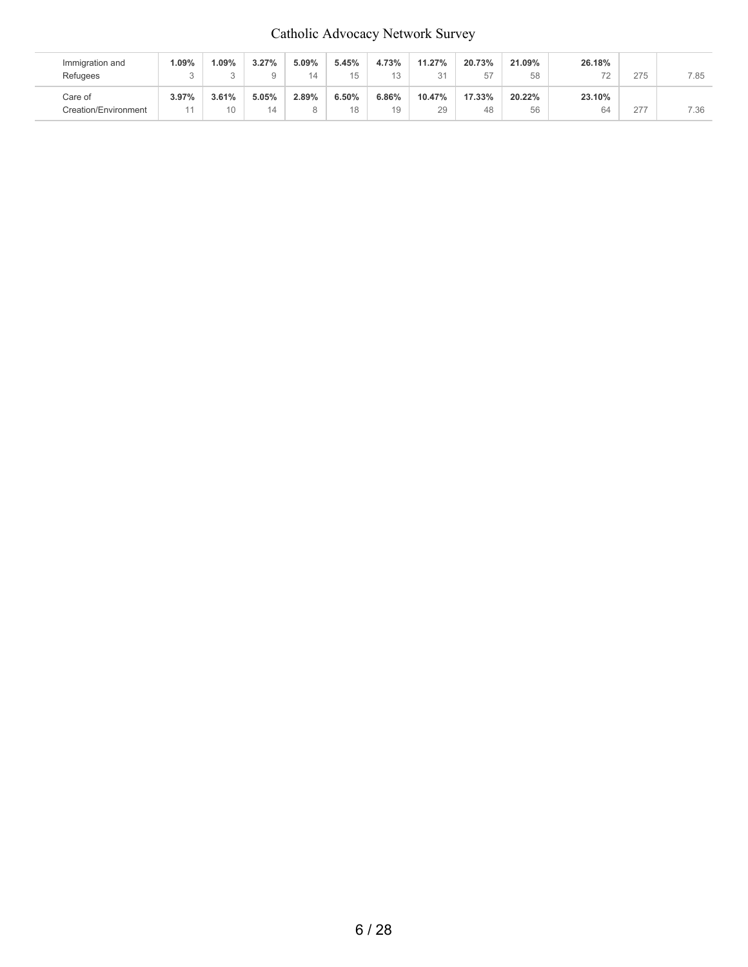## Catholic Advocacy Network Survey

| Immigration and<br>Refugees     | $.09\%$ | .09%<br>$\sim$           | 3.27%       | 5.09% | 5.45%<br>15 | 4.73%<br>12 | 11.27%<br>31 | 20.73%<br>57 | 21.09%<br>58 | 26.18%<br>$\overline{\phantom{a}}$ | 275 | 7.85 |
|---------------------------------|---------|--------------------------|-------------|-------|-------------|-------------|--------------|--------------|--------------|------------------------------------|-----|------|
| Care of<br>Creation/Environment | 3.97%   | 3.61%<br>10 <sup>1</sup> | 5.05%<br>14 | 2.89% | 6.50%<br>18 | 6.86%<br>19 | 10.47%<br>29 | 17.33%<br>48 | 20.22%<br>56 | 23.10%<br>64                       | 277 | 7.36 |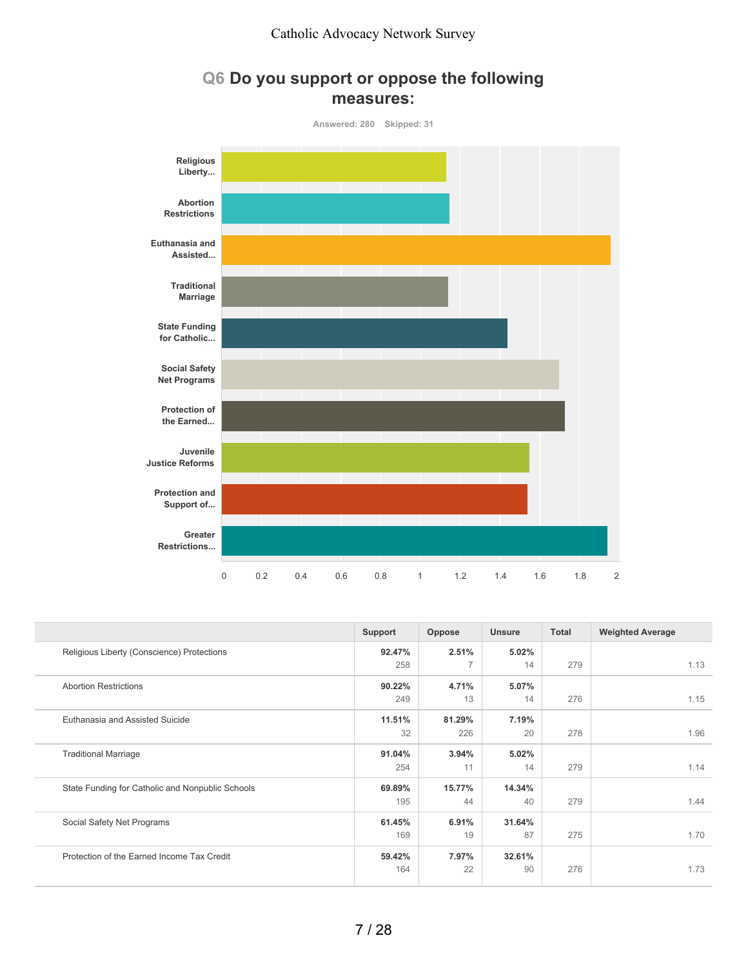## **Q6 Do you support or oppose the following measures:**



|                                                  | Support | Oppose | <b>Unsure</b> | <b>Total</b> | <b>Weighted Average</b> |
|--------------------------------------------------|---------|--------|---------------|--------------|-------------------------|
| Religious Liberty (Conscience) Protections       | 92.47%  | 2.51%  | 5.02%         |              |                         |
|                                                  | 258     | 7      | 14            | 279          | 1.13                    |
| <b>Abortion Restrictions</b>                     | 90.22%  | 4.71%  | 5.07%         |              |                         |
|                                                  | 249     | 13     | 14            | 276          | 1.15                    |
| Euthanasia and Assisted Suicide                  | 11.51%  | 81.29% | 7.19%         |              |                         |
|                                                  | 32      | 226    | 20            | 278          | 1.96                    |
| <b>Traditional Marriage</b>                      | 91.04%  | 3.94%  | 5.02%         |              |                         |
|                                                  | 254     | 11     | 14            | 279          | 1.14                    |
| State Funding for Catholic and Nonpublic Schools | 69.89%  | 15.77% | 14.34%        |              |                         |
|                                                  | 195     | 44     | 40            | 279          | 1.44                    |
| Social Safety Net Programs                       | 61.45%  | 6.91%  | 31.64%        |              |                         |
|                                                  | 169     | 19     | 87            | 275          | 1.70                    |
| Protection of the Earned Income Tax Credit       | 59.42%  | 7.97%  | 32.61%        |              |                         |
|                                                  | 164     | 22     | 90            | 276          | 1.73                    |
|                                                  |         |        |               |              |                         |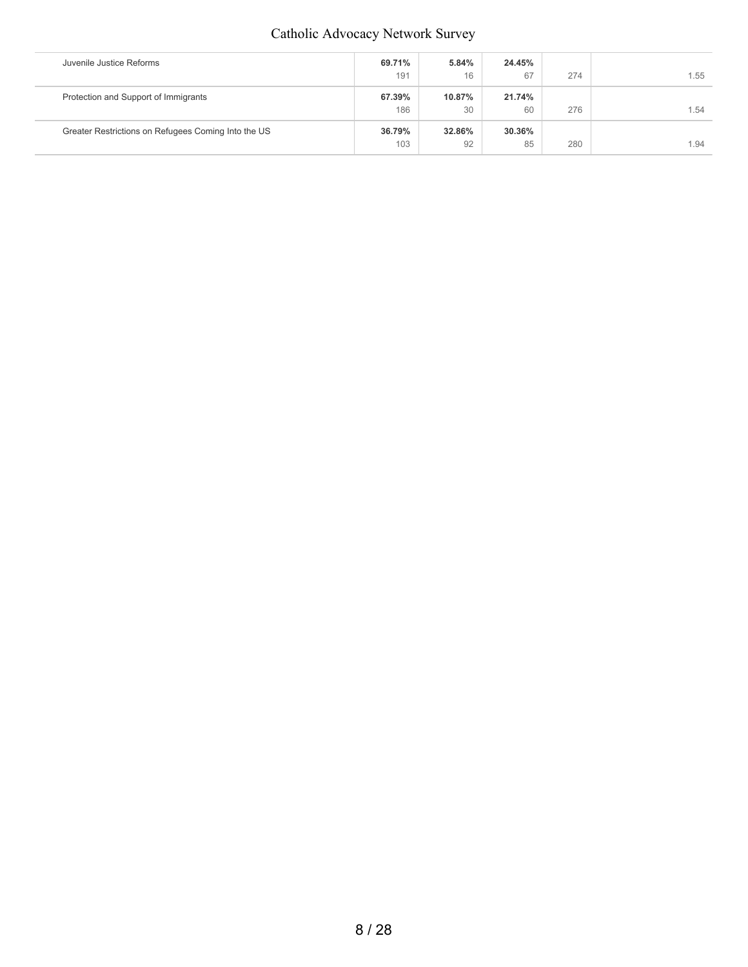## Catholic Advocacy Network Survey

| Juvenile Justice Reforms                            | 69.71% | 5.84%  | 24.45% |     |      |
|-----------------------------------------------------|--------|--------|--------|-----|------|
|                                                     | 191    | 16     | 67     | 274 | 1.55 |
| Protection and Support of Immigrants                | 67.39% | 10.87% | 21.74% |     |      |
|                                                     | 186    | 30     | 60     | 276 | 1.54 |
| Greater Restrictions on Refugees Coming Into the US | 36.79% | 32.86% | 30.36% |     |      |
|                                                     | 103    | 92     | 85     | 280 | 1.94 |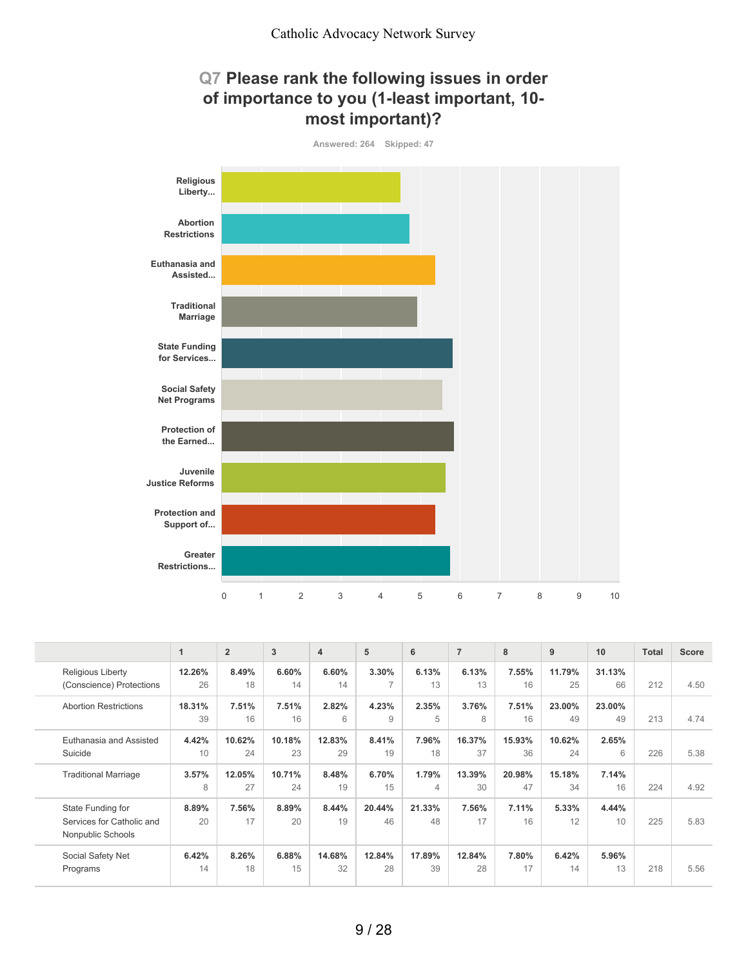



|                              | $\mathbf{1}$ | $\overline{2}$ | 3      | $\overline{\mathbf{4}}$ | 5             | 6              | $\overline{7}$ | 8      | 9      | 10     | <b>Total</b> | <b>Score</b> |
|------------------------------|--------------|----------------|--------|-------------------------|---------------|----------------|----------------|--------|--------|--------|--------------|--------------|
| <b>Religious Liberty</b>     | 12.26%       | 8.49%          | 6.60%  | 6.60%                   | 3.30%         | 6.13%          | 6.13%          | 7.55%  | 11.79% | 31.13% |              |              |
| (Conscience) Protections     | 26           | 18             | 14     | 14                      | $\rightarrow$ | 13             | 13             | 16     | 25     | 66     | 212          | 4.50         |
| <b>Abortion Restrictions</b> | 18.31%       | 7.51%          | 7.51%  | 2.82%                   | 4.23%         | 2.35%          | 3.76%          | 7.51%  | 23.00% | 23.00% |              |              |
|                              | 39           | 16             | 16     | 6                       | 9             | 5              | 8              | 16     | 49     | 49     | 213          | 4.74         |
| Euthanasia and Assisted      | 4.42%        | 10.62%         | 10.18% | 12.83%                  | 8.41%         | 7.96%          | 16.37%         | 15.93% | 10.62% | 2.65%  |              |              |
| Suicide                      | 10           | 24             | 23     | 29                      | 19            | 18             | 37             | 36     | 24     | 6      | 226          | 5.38         |
| <b>Traditional Marriage</b>  | 3.57%        | 12.05%         | 10.71% | 8.48%                   | 6.70%         | 1.79%          | 13.39%         | 20.98% | 15.18% | 7.14%  |              |              |
|                              | 8            | 27             | 24     | 19                      | 15            | $\overline{4}$ | 30             | 47     | 34     | 16     | 224          | 4.92         |
| State Funding for            | 8.89%        | 7.56%          | 8.89%  | 8.44%                   | 20.44%        | 21.33%         | 7.56%          | 7.11%  | 5.33%  | 4.44%  |              |              |
| Services for Catholic and    | 20           | 17             | 20     | 19                      | 46            | 48             | 17             | 16     | 12     | 10     | 225          | 5.83         |
| Nonpublic Schools            |              |                |        |                         |               |                |                |        |        |        |              |              |
| Social Safety Net            | 6.42%        | 8.26%          | 6.88%  | 14.68%                  | 12.84%        | 17.89%         | 12.84%         | 7.80%  | 6.42%  | 5.96%  |              |              |
| Programs                     | 14           | 18             | 15     | 32                      | 28            | 39             | 28             | 17     | 14     | 13     | 218          | 5.56         |
|                              |              |                |        |                         |               |                |                |        |        |        |              |              |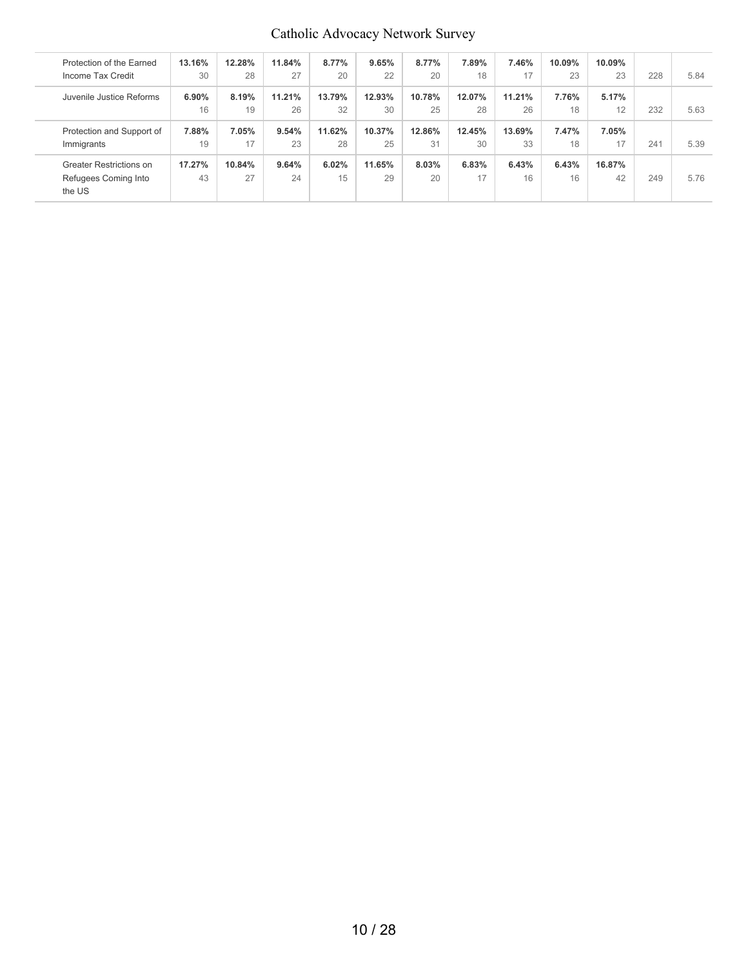## Catholic Advocacy Network Survey

| Protection of the Earned       | 13.16% | 12.28% | 11.84% | 8.77%  | 9.65%  | 8.77%  | 7.89%  | 7.46%  | 10.09% | 10.09% |     |      |
|--------------------------------|--------|--------|--------|--------|--------|--------|--------|--------|--------|--------|-----|------|
| Income Tax Credit              | 30     | 28     | 27     | 20     | 22     | 20     | 18     | 17     | 23     | 23     | 228 | 5.84 |
| Juvenile Justice Reforms       | 6.90%  | 8.19%  | 11.21% | 13.79% | 12.93% | 10.78% | 12.07% | 11.21% | 7.76%  | 5.17%  |     |      |
|                                | 16     | 19     | 26     | 32     | 30     | 25     | 28     | 26     | 18     | 12     | 232 | 5.63 |
| Protection and Support of      | 7.88%  | 7.05%  | 9.54%  | 11.62% | 10.37% | 12.86% | 12.45% | 13.69% | 7.47%  | 7.05%  |     |      |
| Immigrants                     | 19     | 17     | 23     | 28     | 25     | 31     | 30     | 33     | 18     | 17     | 241 | 5.39 |
| <b>Greater Restrictions on</b> | 17.27% | 10.84% | 9.64%  | 6.02%  | 11.65% | 8.03%  | 6.83%  | 6.43%  | 6.43%  | 16.87% |     |      |
| Refugees Coming Into<br>the US | 43     | 27     | 24     | 15     | 29     | 20     | 17     | 16     | 16     | 42     | 249 | 5.76 |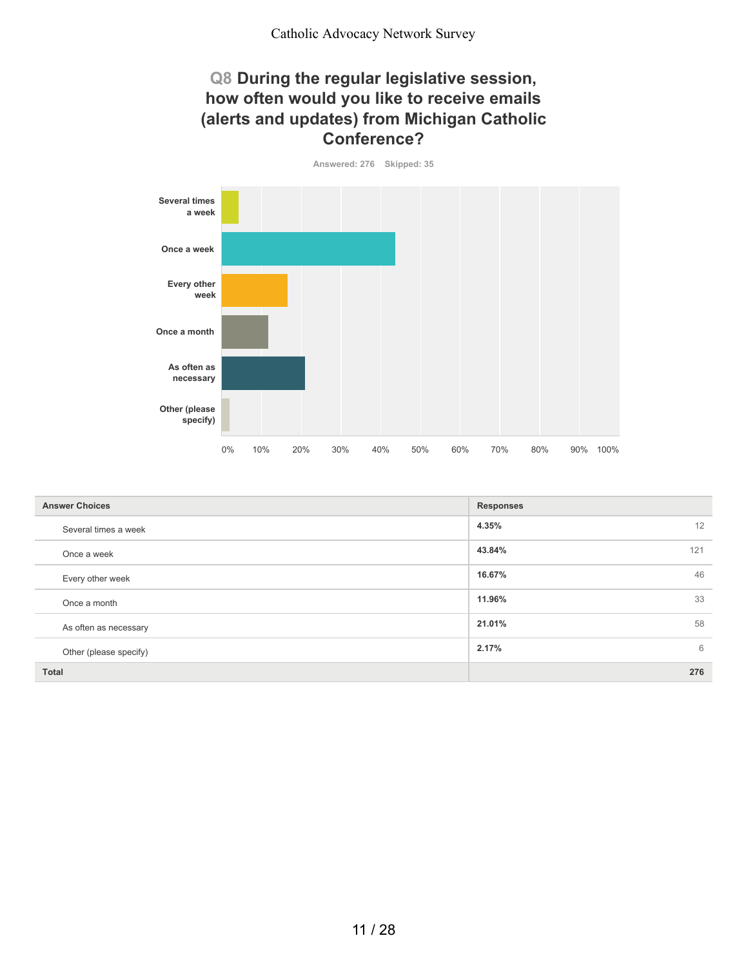#### **Q8 During the regular legislative session, how often would you like to receive emails (alerts and updates) from Michigan Catholic Conference?**

**Answered: 276 Skipped: 35**



| <b>Answer Choices</b>  | <b>Responses</b> |
|------------------------|------------------|
| Several times a week   | 12<br>4.35%      |
| Once a week            | 43.84%<br>121    |
| Every other week       | 46<br>16.67%     |
| Once a month           | 33<br>11.96%     |
| As often as necessary  | 58<br>21.01%     |
| Other (please specify) | 6<br>2.17%       |
| <b>Total</b>           | 276              |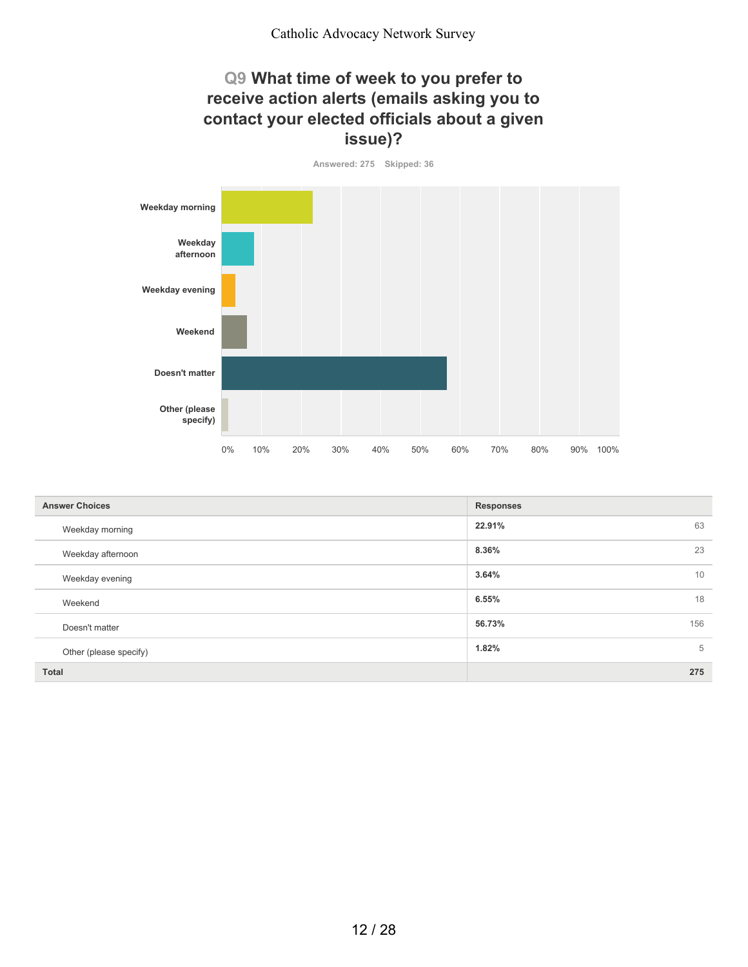#### **Q9 What time of week to you prefer to receive action alerts (emails asking you to contact your elected officials about a given issue)?**

**Answered: 275 Skipped: 36**



| <b>Answer Choices</b>  | <b>Responses</b> |
|------------------------|------------------|
| Weekday morning        | 63<br>22.91%     |
| Weekday afternoon      | 23<br>8.36%      |
| Weekday evening        | 3.64%<br>10      |
| Weekend                | 18<br>6.55%      |
| Doesn't matter         | 156<br>56.73%    |
| Other (please specify) | 5<br>1.82%       |
| <b>Total</b>           | 275              |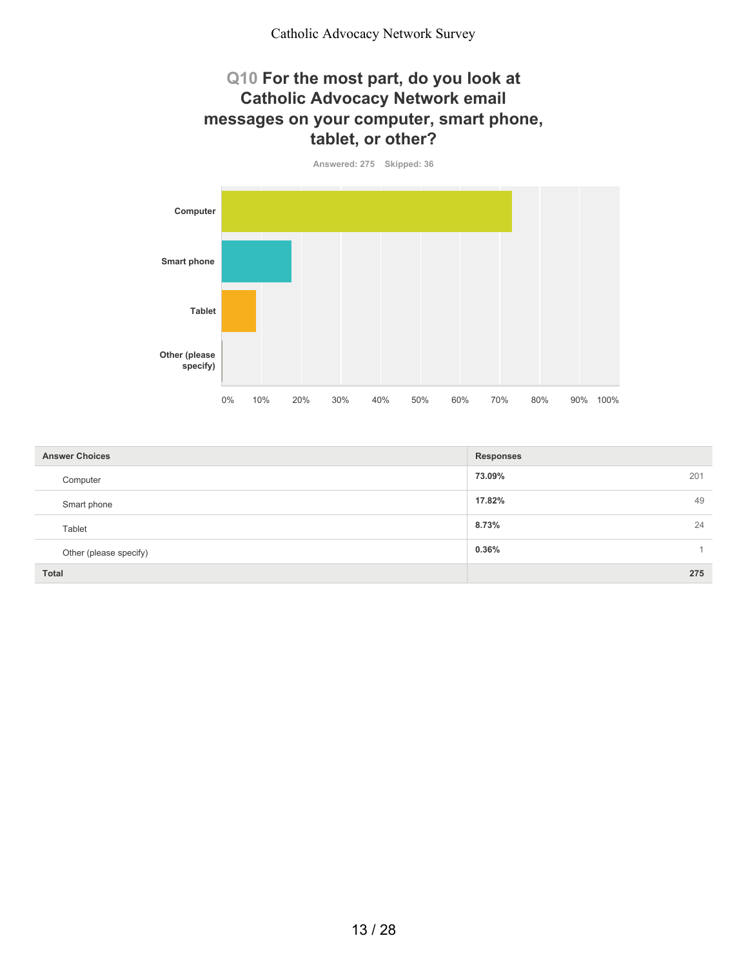#### **Q10 For the most part, do you look at Catholic Advocacy Network email messages on your computer, smart phone, tablet, or other?**

**Answered: 275 Skipped: 36**



| <b>Answer Choices</b>  | <b>Responses</b> |
|------------------------|------------------|
| Computer               | 73.09%<br>201    |
| Smart phone            | 49<br>17.82%     |
| Tablet                 | 8.73%<br>24      |
| Other (please specify) | $0.36\%$         |
| <b>Total</b>           | 275              |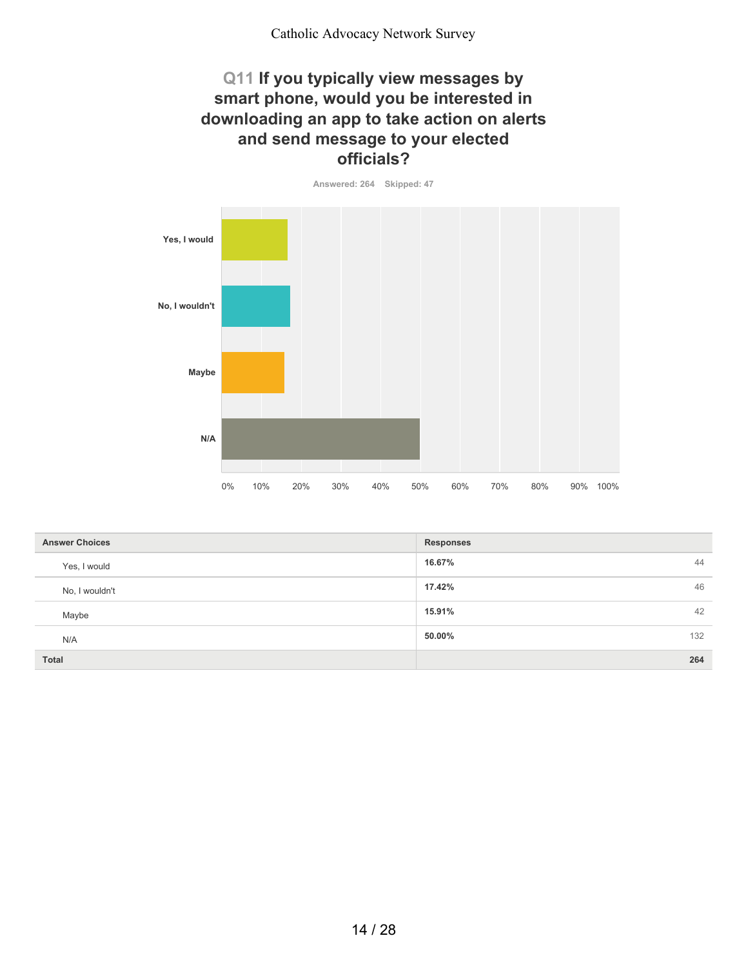#### **Q11 If you typically view messages by smart phone, would you be interested in downloading an app to take action on alerts and send message to your elected officials?**

**Answered: 264 Skipped: 47**

**Yes, I would No, I wouldn't Maybe N/A** 0% 10% 20% 30% 40% 50% 60% 70% 80% 90% 100%

| <b>Answer Choices</b> | <b>Responses</b> |
|-----------------------|------------------|
| Yes, I would          | 44<br>16.67%     |
| No, I wouldn't        | 46<br>17.42%     |
| Maybe                 | 42<br>15.91%     |
| N/A                   | 132<br>50.00%    |
| Total                 | 264              |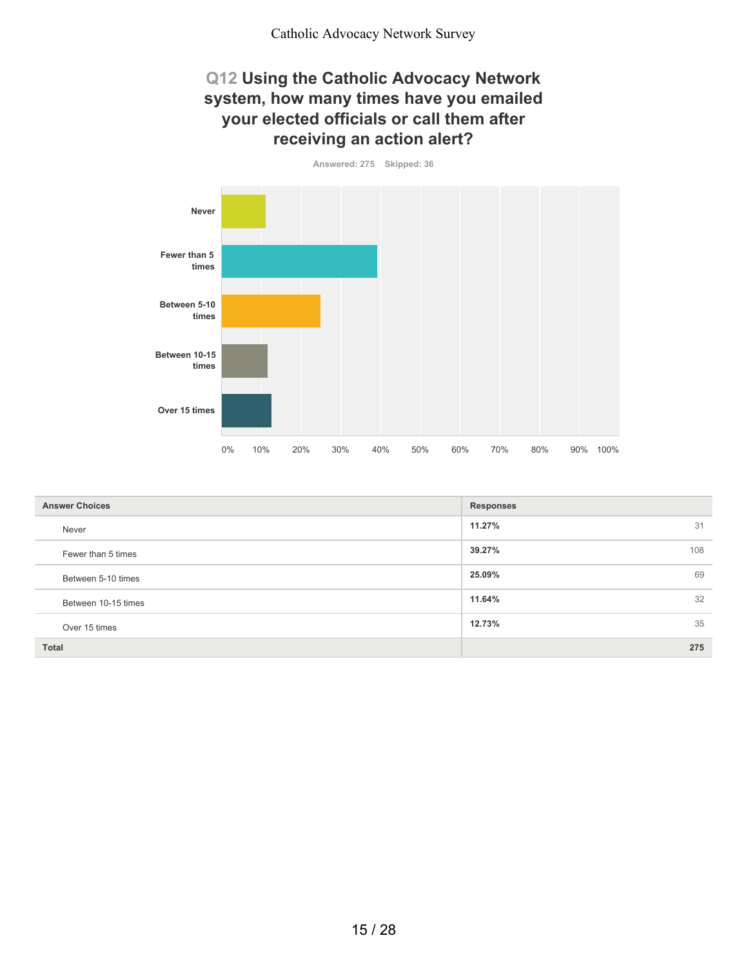#### **Q12 Using the Catholic Advocacy Network system, how many times have you emailed your elected officials or call them after receiving an action alert?**

**Answered: 275 Skipped: 36**



| <b>Answer Choices</b> | <b>Responses</b> |
|-----------------------|------------------|
| Never                 | 11.27%<br>31     |
| Fewer than 5 times    | 39.27%<br>108    |
| Between 5-10 times    | 69<br>25.09%     |
| Between 10-15 times   | 32<br>11.64%     |
| Over 15 times         | 35<br>12.73%     |
| <b>Total</b>          | 275              |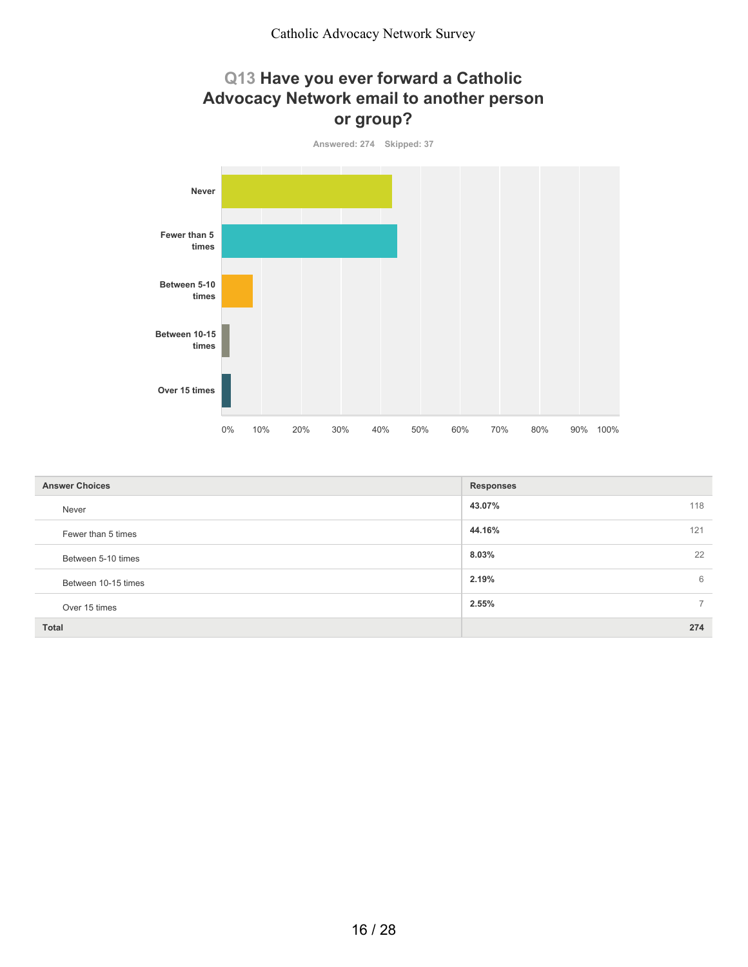## **Q13 Have you ever forward a Catholic Advocacy Network email to another person or group?**



| <b>Answer Choices</b> | <b>Responses</b>        |
|-----------------------|-------------------------|
| Never                 | 118<br>43.07%           |
| Fewer than 5 times    | 44.16%<br>121           |
| Between 5-10 times    | 22<br>8.03%             |
| Between 10-15 times   | 2.19%<br>6              |
| Over 15 times         | 2.55%<br>$\overline{7}$ |
| <b>Total</b>          | 274                     |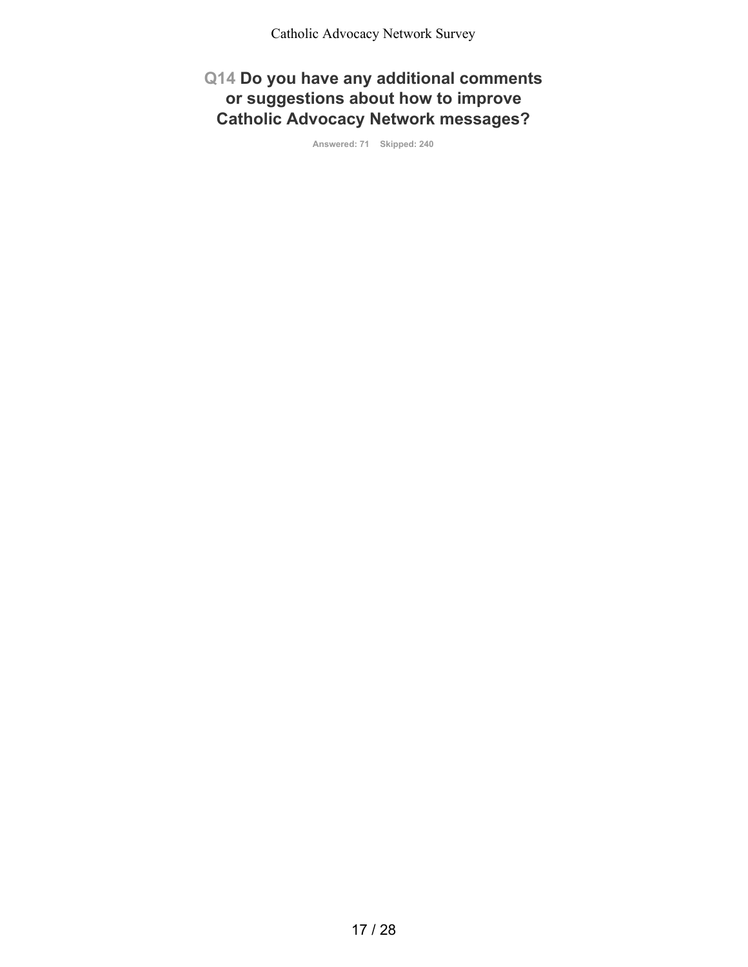**Q14 Do you have any additional comments or suggestions about how to improve Catholic Advocacy Network messages?**

**Answered: 71 Skipped: 240**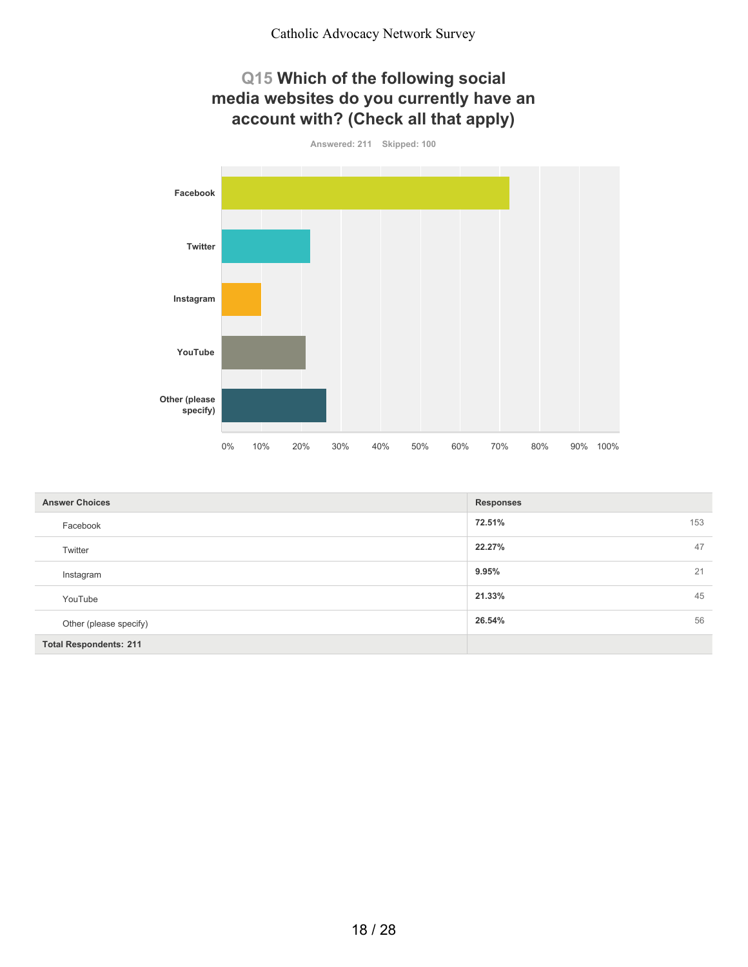## **Q15 Which of the following social media websites do you currently have an account with? (Check all that apply)**



| <b>Answer Choices</b>         | <b>Responses</b> |
|-------------------------------|------------------|
| Facebook                      | 72.51%<br>153    |
| Twitter                       | 47<br>22.27%     |
| Instagram                     | 21<br>9.95%      |
| YouTube                       | 45<br>21.33%     |
| Other (please specify)        | 26.54%<br>56     |
| <b>Total Respondents: 211</b> |                  |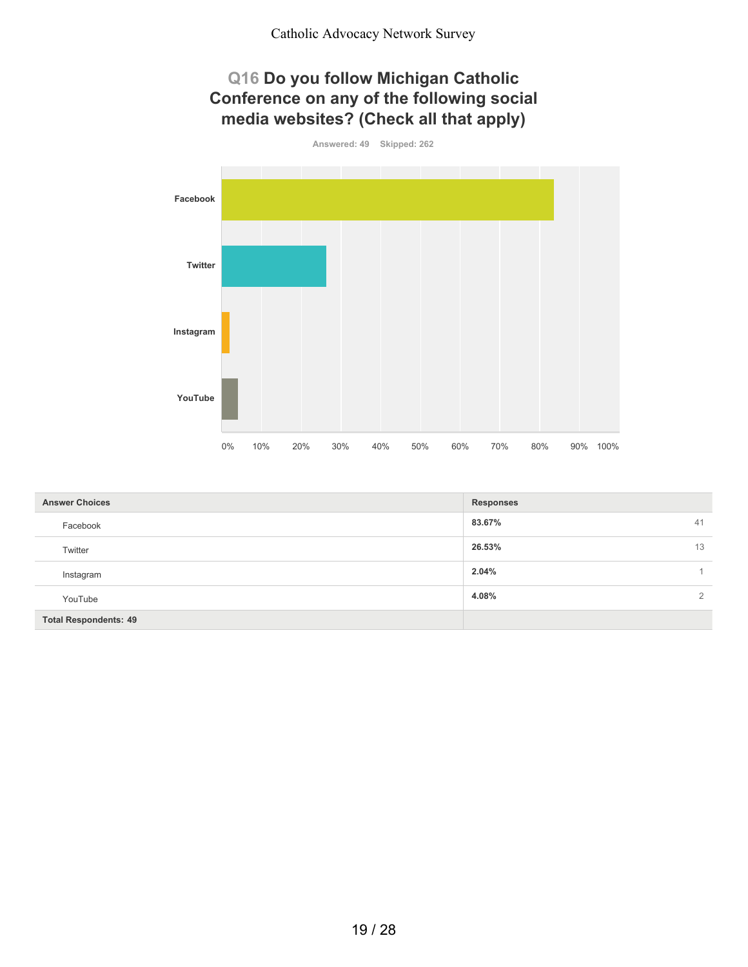## **Q16 Do you follow Michigan Catholic Conference on any of the following social media websites? (Check all that apply)**



| <b>Answer Choices</b>        | <b>Responses</b>        |
|------------------------------|-------------------------|
| Facebook                     | 83.67%<br>41            |
| Twitter                      | 13<br>26.53%            |
| Instagram                    | 2.04%                   |
| YouTube                      | 4.08%<br>$\overline{2}$ |
| <b>Total Respondents: 49</b> |                         |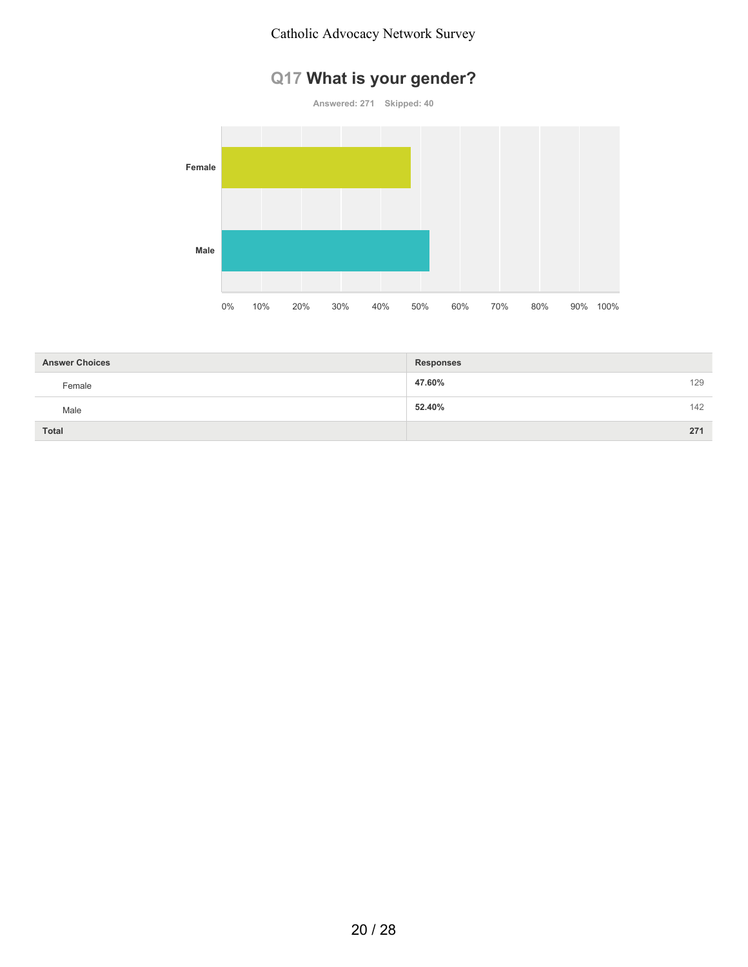#### Catholic Advocacy Network Survey

# **Q17 What is your gender?**



| <b>Answer Choices</b> | <b>Responses</b> |     |
|-----------------------|------------------|-----|
| Female                | 47.60%           | 129 |
| Male                  | 52.40%           | 142 |
| Total                 |                  | 271 |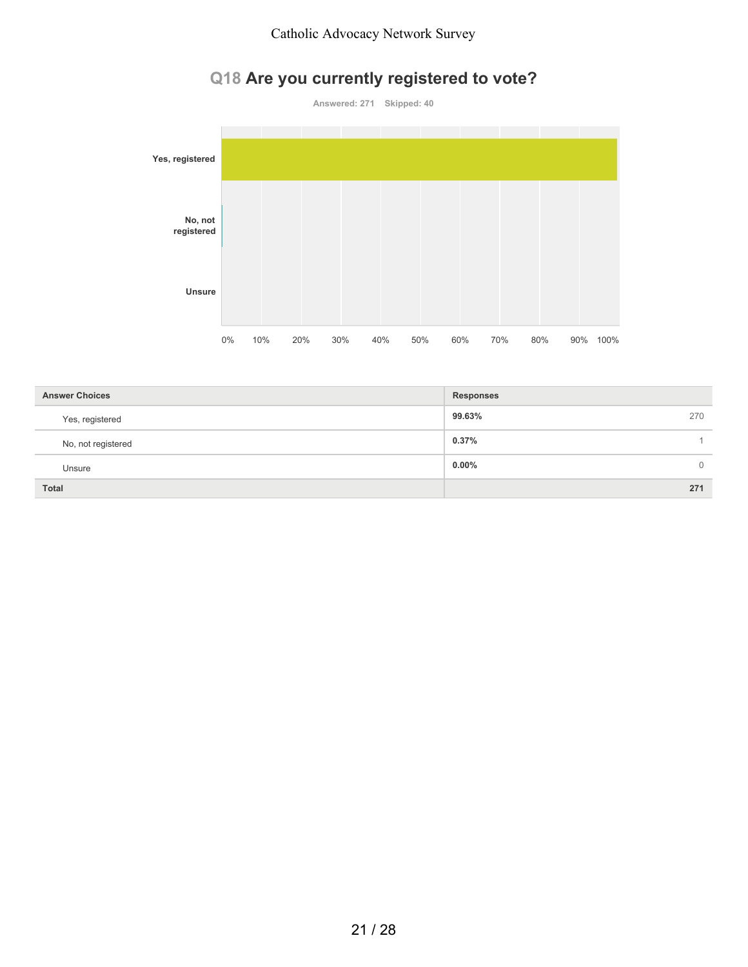# **Q18 Are you currently registered to vote?**



| <b>Answer Choices</b> | <b>Responses</b>           |
|-----------------------|----------------------------|
| Yes, registered       | 99.63%<br>270              |
| No, not registered    | 0.37%                      |
| Unsure                | $0.00\%$<br>$\overline{0}$ |
| <b>Total</b>          | 271                        |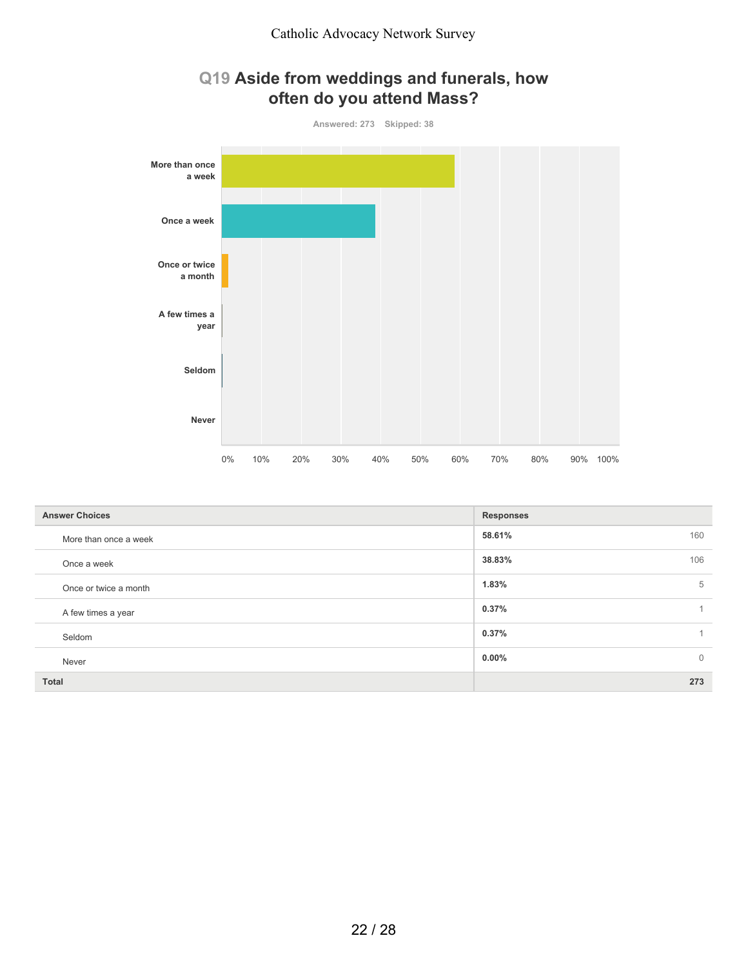## **Q19 Aside from weddings and funerals, how often do you attend Mass?**



| <b>Answer Choices</b> | <b>Responses</b>           |
|-----------------------|----------------------------|
| More than once a week | 160<br>58.61%              |
| Once a week           | 106<br>38.83%              |
| Once or twice a month | 5<br>1.83%                 |
| A few times a year    | 0.37%                      |
| Seldom                | 0.37%                      |
| Never                 | $0.00\%$<br>$\overline{0}$ |
| Total                 | 273                        |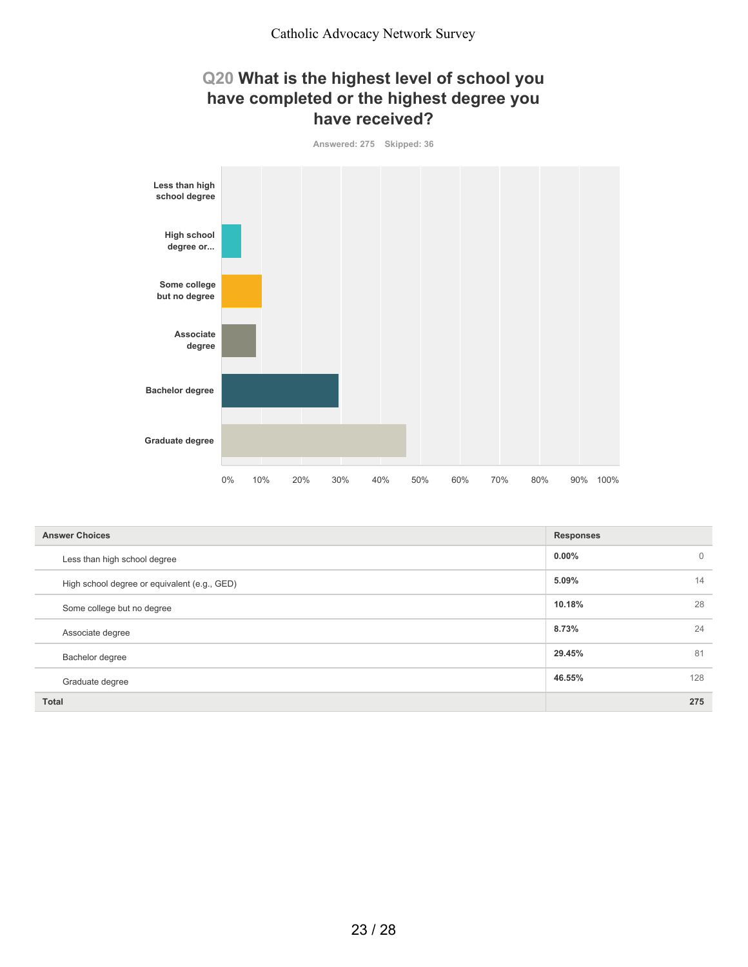#### **Q20 What is the highest level of school you have completed or the highest degree you have received?**



| <b>Answer Choices</b>                        | <b>Responses</b> |             |
|----------------------------------------------|------------------|-------------|
| Less than high school degree                 | $0.00\%$         | $\mathbf 0$ |
| High school degree or equivalent (e.g., GED) | 5.09%            | 14          |
| Some college but no degree                   | 10.18%           | 28          |
| Associate degree                             | 8.73%            | 24          |
| Bachelor degree                              | 29.45%           | 81          |
| Graduate degree                              | 46.55%           | 128         |
| <b>Total</b>                                 |                  | 275         |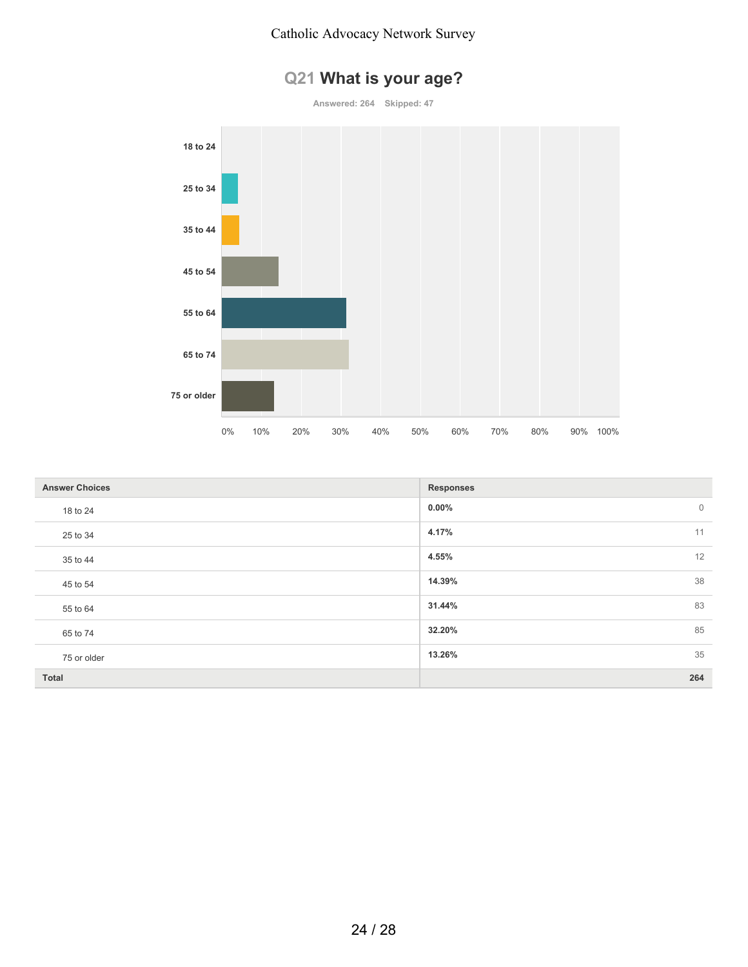

**Answered: 264 Skipped: 47**



| <b>Answer Choices</b> | <b>Responses</b>        |
|-----------------------|-------------------------|
| 18 to 24              | $0.00\%$<br>$\mathbf 0$ |
| 25 to 34              | 11<br>4.17%             |
| 35 to 44              | 12<br>4.55%             |
| 45 to 54              | 14.39%<br>38            |
| 55 to 64              | 83<br>31.44%            |
| 65 to 74              | 85<br>32.20%            |
| 75 or older           | 35<br>13.26%            |
| Total                 | 264                     |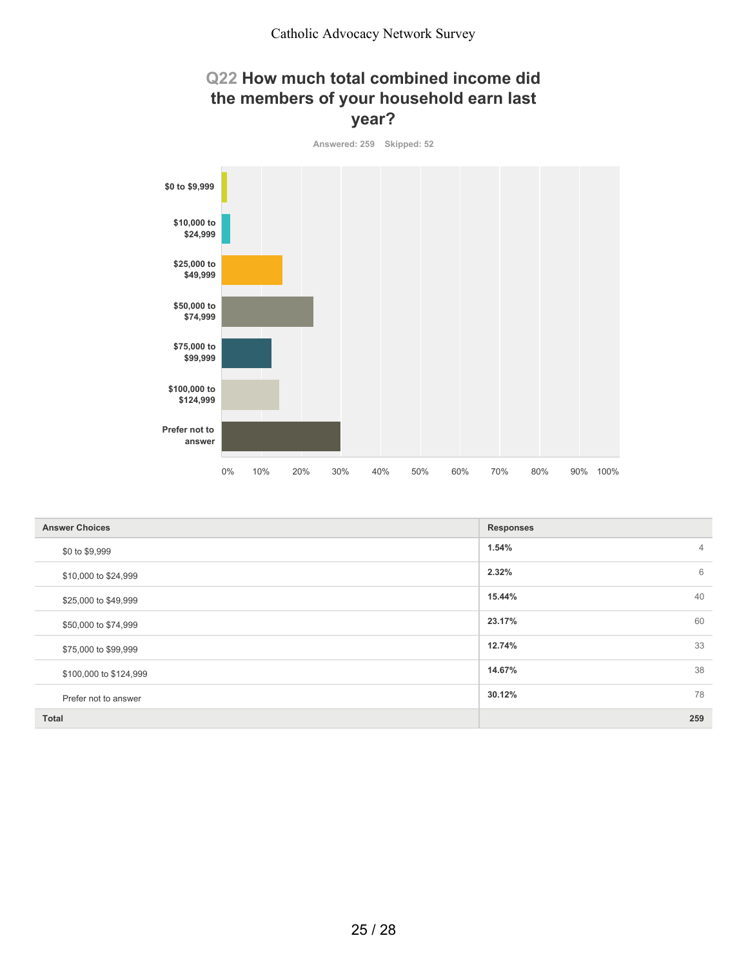## **Q22 How much total combined income did the members of your household earn last year?**



| <b>Answer Choices</b>  | <b>Responses</b>        |
|------------------------|-------------------------|
| \$0 to \$9,999         | 1.54%<br>$\overline{4}$ |
| \$10,000 to \$24,999   | 6<br>2.32%              |
| \$25,000 to \$49,999   | 40<br>15.44%            |
| \$50,000 to \$74,999   | 60<br>23.17%            |
| \$75,000 to \$99,999   | 33<br>12.74%            |
| \$100,000 to \$124,999 | 38<br>14.67%            |
| Prefer not to answer   | 78<br>30.12%            |
| Total                  | 259                     |

25 / 28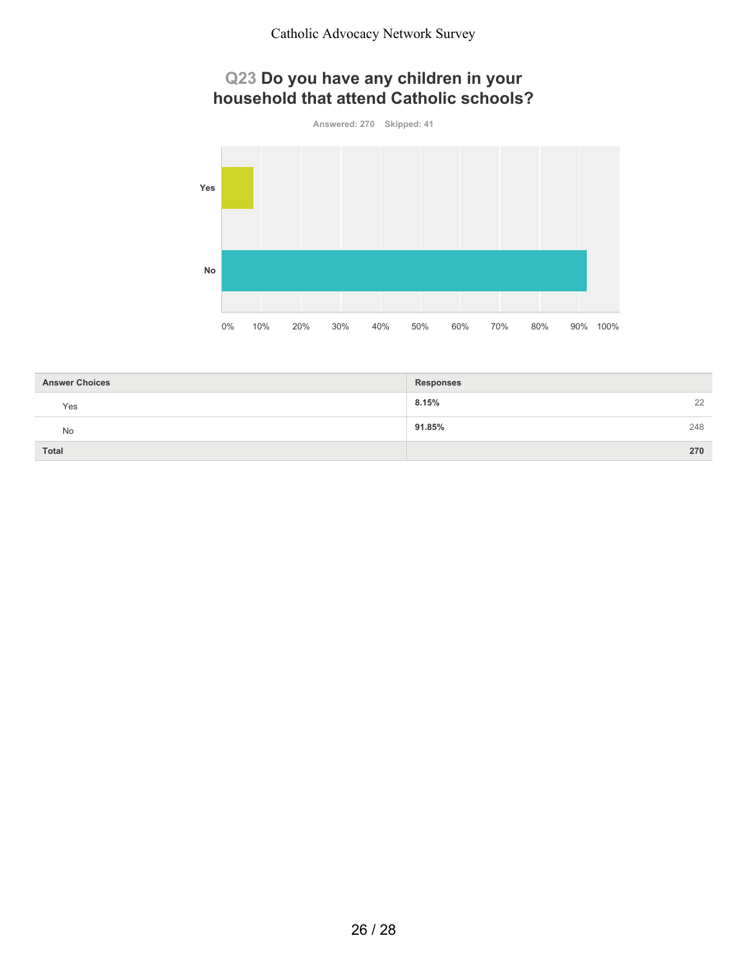## **Q23 Do you have any children in your household that attend Catholic schools?**



| <b>Answer Choices</b> | <b>Responses</b> |
|-----------------------|------------------|
| Yes                   | 8.15%<br>22      |
| No                    | 248<br>91.85%    |
| Total                 | 270              |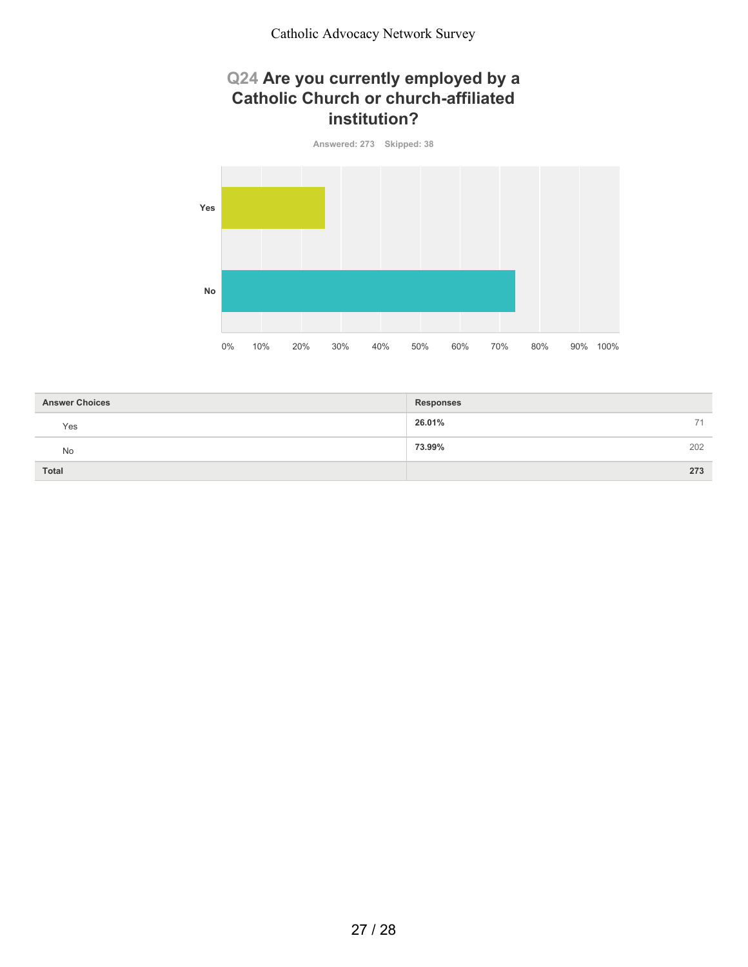## **Q24 Are you currently employed by a Catholic Church or church-affiliated institution?**



| <b>Answer Choices</b> | <b>Responses</b> |
|-----------------------|------------------|
| Yes                   | 26.01%<br>71     |
| No                    | 73.99%<br>202    |
| Total                 | 273              |